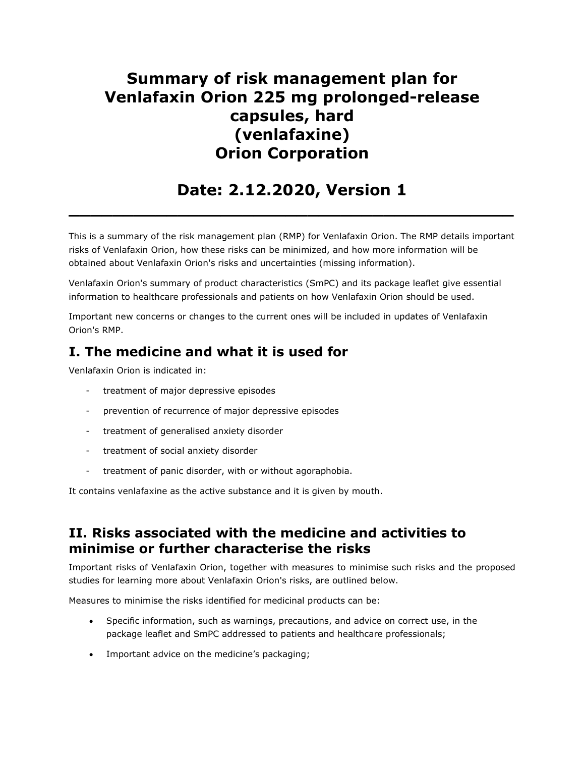# Summary of risk management plan for Venlafaxin Orion 225 mg prolonged-release capsules, hard (venlafaxine) Orion Corporation

# Date: 2.12.2020, Version 1

 $\overline{\phantom{a}}$  , and the contract of the contract of the contract of the contract of the contract of the contract of the contract of the contract of the contract of the contract of the contract of the contract of the contrac

This is a summary of the risk management plan (RMP) for Venlafaxin Orion. The RMP details important risks of Venlafaxin Orion, how these risks can be minimized, and how more information will be obtained about Venlafaxin Orion's risks and uncertainties (missing information).

Venlafaxin Orion's summary of product characteristics (SmPC) and its package leaflet give essential information to healthcare professionals and patients on how Venlafaxin Orion should be used.

Important new concerns or changes to the current ones will be included in updates of Venlafaxin Orion's RMP.

## I. The medicine and what it is used for

Venlafaxin Orion is indicated in:

- treatment of major depressive episodes
- prevention of recurrence of major depressive episodes
- treatment of generalised anxiety disorder
- treatment of social anxiety disorder
- treatment of panic disorder, with or without agoraphobia.

It contains venlafaxine as the active substance and it is given by mouth.

## II. Risks associated with the medicine and activities to minimise or further characterise the risks

Important risks of Venlafaxin Orion, together with measures to minimise such risks and the proposed studies for learning more about Venlafaxin Orion's risks, are outlined below.

Measures to minimise the risks identified for medicinal products can be:

- Specific information, such as warnings, precautions, and advice on correct use, in the package leaflet and SmPC addressed to patients and healthcare professionals;
- Important advice on the medicine's packaging;